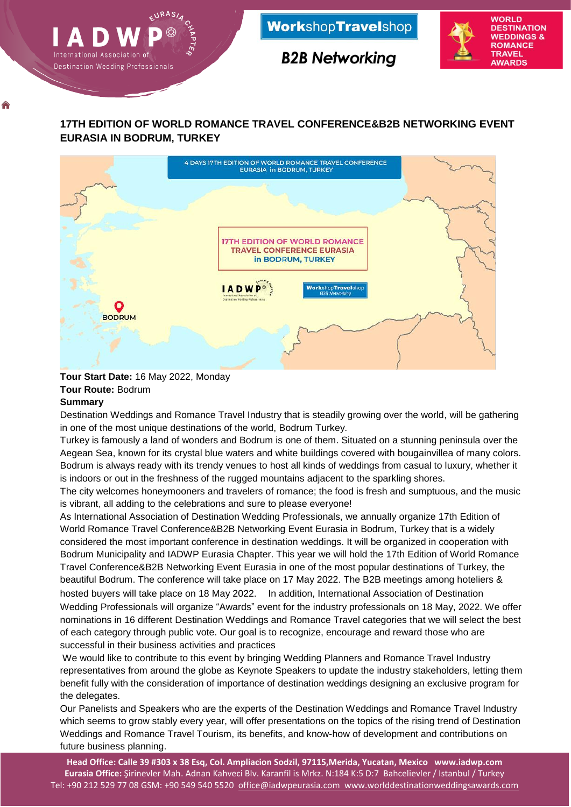

## **17TH EDITION OF WORLD ROMANCE TRAVEL CONFERENCE&B2B NETWORKING EVENT EURASIA IN BODRUM, TURKEY**



#### **Tour Start Date:** 16 May 2022, Monday **Tour Route:** Bodrum **Summary**

♠

Destination Weddings and Romance Travel Industry that is steadily growing over the world, will be gathering in one of the most unique destinations of the world, Bodrum Turkey.

Turkey is famously a land of wonders and Bodrum is one of them. Situated on a stunning peninsula over the Aegean Sea, known for its crystal blue waters and white buildings covered with bougainvillea of many colors. Bodrum is always ready with its trendy venues to host all kinds of weddings from casual to luxury, whether it is indoors or out in the freshness of the rugged mountains adjacent to the sparkling shores.

The city welcomes honeymooners and travelers of romance; the food is fresh and sumptuous, and the music is vibrant, all adding to the celebrations and sure to please everyone!

As International Association of Destination Wedding Professionals, we annually organize 17th Edition of World Romance Travel Conference&B2B Networking Event Eurasia in Bodrum, Turkey that is a widely considered the most important conference in destination weddings. It will be organized in cooperation with Bodrum Municipality and IADWP Eurasia Chapter. This year we will hold the 17th Edition of World Romance Travel Conference&B2B Networking Event Eurasia in one of the most popular destinations of Turkey, the beautiful Bodrum. The conference will take place on 17 May 2022. The B2B meetings among hoteliers & hosted buyers will take place on 18 May 2022. In addition, International Association of Destination Wedding Professionals will organize "Awards" event for the industry professionals on 18 May, 2022. We offer nominations in 16 different Destination Weddings and Romance Travel categories that we will select the best of each category through public vote. Our goal is to recognize, encourage and reward those who are successful in their business activities and practices

We would like to contribute to this event by bringing Wedding Planners and Romance Travel Industry representatives from around the globe as Keynote Speakers to update the industry stakeholders, letting them benefit fully with the consideration of importance of destination weddings designing an exclusive program for the delegates.

Our Panelists and Speakers who are the experts of the Destination Weddings and Romance Travel Industry which seems to grow stably every year, will offer presentations on the topics of the rising trend of Destination Weddings and Romance Travel Tourism, its benefits, and know-how of development and contributions on future business planning.

**Head Office: Calle 39 #303 x 38 Esq, Col. Ampliacion Sodzil, 97115,Merida, Yucatan, Mexico www.iadwp.com Eurasia Office:** Şirinevler Mah. Adnan Kahveci Blv. Karanfil is Mrkz. N:184 K:5 D:7 Bahcelievler / Istanbul / Turkey Tel: +90 212 529 77 08 GSM: +90 549 540 5520 [office@iadwpeurasia.com](mailto:office@iadwpeurasia.com) [www.worlddestinationweddingsawards.com](http://www.worlddestinationweddingsawards.com/)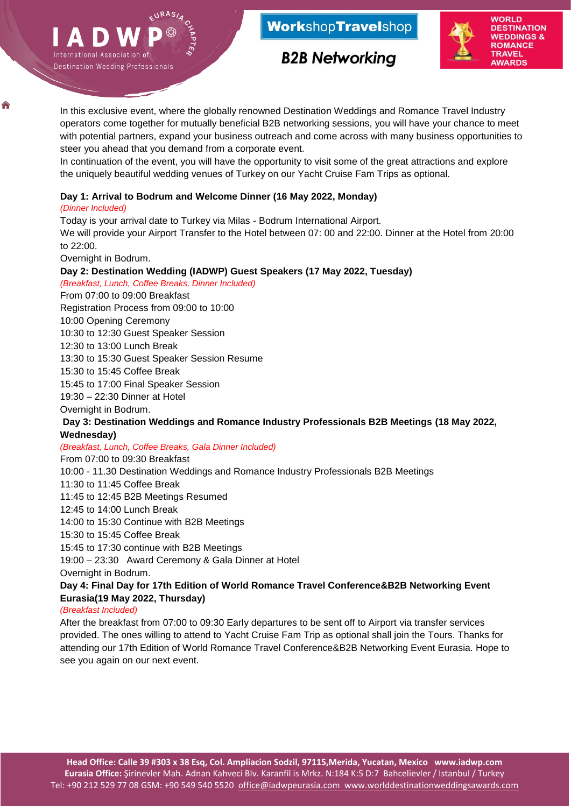



**B2B Networking** 

♠

Ш

In this exclusive event, where the globally renowned Destination Weddings and Romance Travel Industry operators come together for mutually beneficial B2B networking sessions, you will have your chance to meet with potential partners, expand your business outreach and come across with many business opportunities to steer you ahead that you demand from a corporate event.

In continuation of the event, you will have the opportunity to visit some of the great attractions and explore the uniquely beautiful wedding venues of Turkey on our Yacht Cruise Fam Trips as optional.

## **Day 1: Arrival to Bodrum and Welcome Dinner (16 May 2022, Monday)**

#### *(Dinner Included)*

International Association of

Destination Wedding Professionals

Today is your arrival date to Turkey via Milas - Bodrum International Airport.

We will provide your Airport Transfer to the Hotel between 07: 00 and 22:00. Dinner at the Hotel from 20:00 to 22:00.

Overnight in Bodrum.

## **Day 2: Destination Wedding (IADWP) Guest Speakers (17 May 2022, Tuesday)**

*(Breakfast, Lunch, Coffee Breaks, Dinner Included)*

From 07:00 to 09:00 Breakfast

Registration Process from 09:00 to 10:00

## 10:00 Opening Ceremony

10:30 to 12:30 Guest Speaker Session

12:30 to 13:00 Lunch Break

13:30 to 15:30 Guest Speaker Session Resume

15:30 to 15:45 Coffee Break

15:45 to 17:00 Final Speaker Session

19:30 – 22:30 Dinner at Hotel

Overnight in Bodrum.

## **Day 3: Destination Weddings and Romance Industry Professionals B2B Meetings (18 May 2022, Wednesday)**

*(Breakfast, Lunch, Coffee Breaks, Gala Dinner Included)*

From 07:00 to 09:30 Breakfast

10:00 - 11.30 Destination Weddings and Romance Industry Professionals B2B Meetings

11:30 to 11:45 Coffee Break

11:45 to 12:45 B2B Meetings Resumed

12:45 to 14:00 Lunch Break

14:00 to 15:30 Continue with B2B Meetings

15:30 to 15:45 Coffee Break

15:45 to 17:30 continue with B2B Meetings

19:00 – 23:30 Award Ceremony & Gala Dinner at Hotel

Overnight in Bodrum.

## **Day 4: Final Day for 17th Edition of World Romance Travel Conference&B2B Networking Event Eurasia(19 May 2022, Thursday)**

*(Breakfast Included)*

After the breakfast from 07:00 to 09:30 Early departures to be sent off to Airport via transfer services provided. The ones willing to attend to Yacht Cruise Fam Trip as optional shall join the Tours. Thanks for attending our 17th Edition of World Romance Travel Conference&B2B Networking Event Eurasia. Hope to see you again on our next event.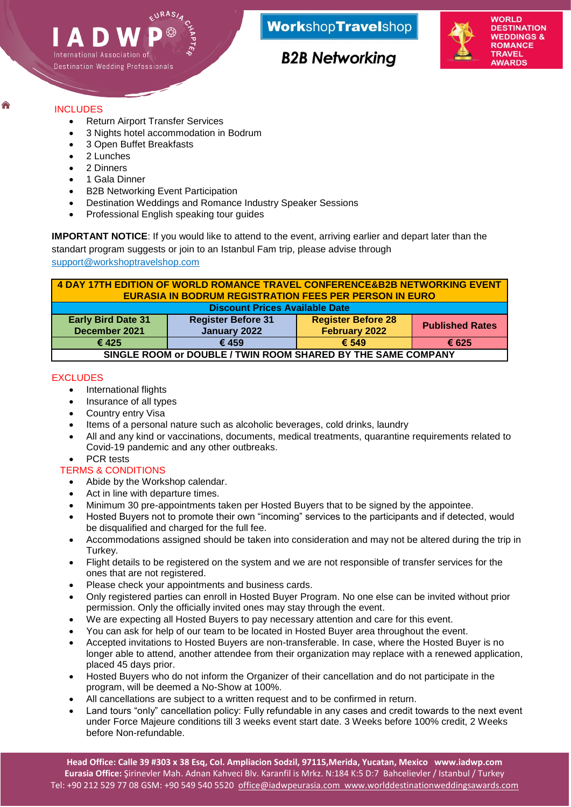

# **B2B Networking**

## INCLUDES

Ш

- Return Airport Transfer Services
- 3 Nights hotel accommodation in Bodrum
- 3 Open Buffet Breakfasts
- 2 Lunches

International Association of

Destination Wedding Professionals

- 2 Dinners
- 1 Gala Dinner
- B2B Networking Event Participation
- Destination Weddings and Romance Industry Speaker Sessions
- Professional English speaking tour guides

**IMPORTANT NOTICE**: If you would like to attend to the event, arriving earlier and depart later than the standart program suggests or join to an Istanbul Fam trip, please advise through [support@workshoptravelshop.com](mailto:support@workshoptravelshop.com)

| 4 DAY 17TH EDITION OF WORLD ROMANCE TRAVEL CONFERENCE&B2B NETWORKING EVENT<br><b>EURASIA IN BODRUM REGISTRATION FEES PER PERSON IN EURO</b> |                                           |                                            |                        |
|---------------------------------------------------------------------------------------------------------------------------------------------|-------------------------------------------|--------------------------------------------|------------------------|
| <b>Discount Prices Available Date</b>                                                                                                       |                                           |                                            |                        |
| <b>Early Bird Date 31</b><br>December 2021                                                                                                  | <b>Register Before 31</b><br>January 2022 | <b>Register Before 28</b><br>February 2022 | <b>Published Rates</b> |
| € 425                                                                                                                                       | € 459                                     | $\epsilon$ 549                             | € 625                  |
| SINGLE ROOM or DOUBLE / TWIN ROOM SHARED BY THE SAME COMPANY                                                                                |                                           |                                            |                        |

## **EXCLUDES**

- International flights
- Insurance of all types
- Country entry Visa
- Items of a personal nature such as alcoholic beverages, cold drinks, laundry
- All and any kind or vaccinations, documents, medical treatments, quarantine requirements related to Covid-19 pandemic and any other outbreaks.

## PCR tests

## TERMS & CONDITIONS

- Abide by the Workshop calendar.
- Act in line with departure times.
- Minimum 30 pre-appointments taken per Hosted Buyers that to be signed by the appointee.
- Hosted Buyers not to promote their own "incoming" services to the participants and if detected, would be disqualified and charged for the full fee.
- Accommodations assigned should be taken into consideration and may not be altered during the trip in Turkey.
- Flight details to be registered on the system and we are not responsible of transfer services for the ones that are not registered.
- Please check your appointments and business cards.
- Only registered parties can enroll in Hosted Buyer Program. No one else can be invited without prior permission. Only the officially invited ones may stay through the event.
- We are expecting all Hosted Buyers to pay necessary attention and care for this event.
- You can ask for help of our team to be located in Hosted Buyer area throughout the event.
- Accepted invitations to Hosted Buyers are non-transferable. In case, where the Hosted Buyer is no longer able to attend, another attendee from their organization may replace with a renewed application, placed 45 days prior.
- Hosted Buyers who do not inform the Organizer of their cancellation and do not participate in the program, will be deemed a No-Show at 100%.
- All cancellations are subject to a written request and to be confirmed in return.
- Land tours "only" cancellation policy: Fully refundable in any cases and credit towards to the next event under Force Majeure conditions till 3 weeks event start date. 3 Weeks before 100% credit, 2 Weeks before Non-refundable.